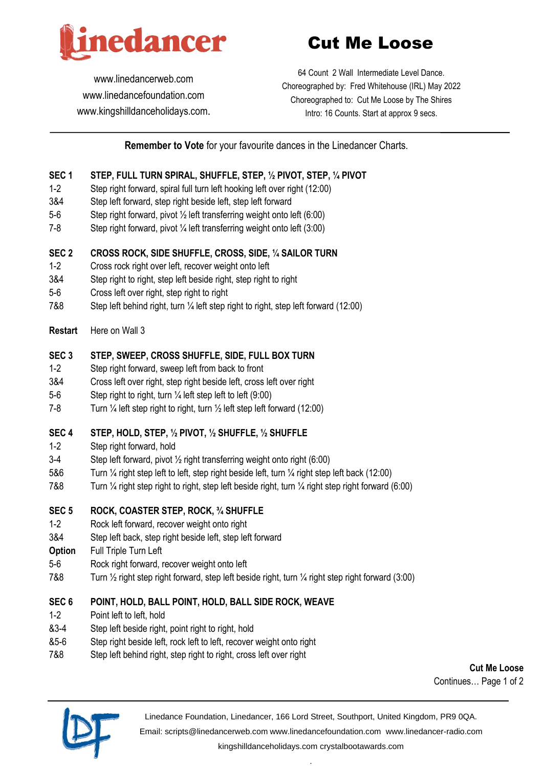

# Cut Me Loose

[www.linedancerweb.com](http://www.linedancerweb.com/) [www.linedancefoundation.com](http://www.linedancerweb.com/)  [www.kingshilldanceholidays.com](http://www.kingshilldanceholidays.com/).

64 Count 2 Wall Intermediate Level Dance. Choreographed by: Fred Whitehouse (IRL) May 2022 Choreographed to: Cut Me Loose by The Shires Intro: 16 Counts. Start at approx 9 secs.

# **Remember to Vote** for your favourite dances in the Linedancer Charts.

#### **SEC 1 STEP, FULL TURN SPIRAL, SHUFFLE, STEP, ½ PIVOT, STEP, ¼ PIVOT**

- 1-2 Step right forward, spiral full turn left hooking left over right (12:00)
- 3&4 Step left forward, step right beside left, step left forward
- 5-6 Step right forward, pivot ½ left transferring weight onto left (6:00)
- 7-8 Step right forward, pivot ¼ left transferring weight onto left (3:00)

#### **SEC 2 CROSS ROCK, SIDE SHUFFLE, CROSS, SIDE, ¼ SAILOR TURN**

- 1-2 Cross rock right over left, recover weight onto left
- 3&4 Step right to right, step left beside right, step right to right
- 5-6 Cross left over right, step right to right
- 7&8 Step left behind right, turn ¼ left step right to right, step left forward (12:00)

#### **Restart** Here on Wall 3

# **SEC 3 STEP, SWEEP, CROSS SHUFFLE, SIDE, FULL BOX TURN**

- 1-2 Step right forward, sweep left from back to front
- 3&4 Cross left over right, step right beside left, cross left over right
- 5-6 Step right to right, turn ¼ left step left to left (9:00)
- 7-8 Turn ¼ left step right to right, turn ½ left step left forward (12:00)

#### **SEC 4 STEP, HOLD, STEP, ½ PIVOT, ½ SHUFFLE, ½ SHUFFLE**

- 1-2 Step right forward, hold
- 3-4 Step left forward, pivot ½ right transferring weight onto right (6:00)
- 5&6 Turn ¼ right step left to left, step right beside left, turn ¼ right step left back (12:00)
- 7&8 Turn ¼ right step right to right, step left beside right, turn ¼ right step right forward (6:00)

#### **SEC 5 ROCK, COASTER STEP, ROCK, ¾ SHUFFLE**

- 1-2 Rock left forward, recover weight onto right
- 3&4 Step left back, step right beside left, step left forward
- **Option** Full Triple Turn Left
- 5-6 Rock right forward, recover weight onto left
- 7&8 Turn ½ right step right forward, step left beside right, turn ¼ right step right forward (3:00)

#### **SEC 6 POINT, HOLD, BALL POINT, HOLD, BALL SIDE ROCK, WEAVE**

- 1-2 Point left to left, hold
- &3-4 Step left beside right, point right to right, hold
- &5-6 Step right beside left, rock left to left, recover weight onto right
- 7&8 Step left behind right, step right to right, cross left over right

**Cut Me Loose** Continues… Page 1 of 2



Linedance Foundation, Linedancer, 166 Lord Street, Southport, United Kingdom, PR9 0QA.

Email: [scripts@linedancerweb.com](mailto:scripts@linedancerweb.com) [www.linedancefoundation.com](http://www.linedancefoundation.com/) [www.linedancer-radio.com](http://www.linedancer-radio.com/)

[kingshilldanceholidays.com](http://kingshilldanceholidays.com/) [crystalbootawards.com](http://crystalbootawards.com/) .